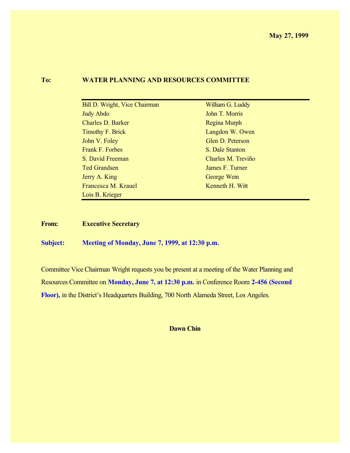#### **To: WATER PLANNING AND RESOURCES COMMITTEE**

| Bill D. Wright, Vice Chairman | William G. Luddy   |
|-------------------------------|--------------------|
| <b>Judy Abdo</b>              | John T. Morris     |
| <b>Charles D. Barker</b>      | Regina Murph       |
| Timothy F. Brick              | Langdon W. Owen    |
| John V. Foley                 | Glen D. Peterson   |
| Frank F. Forbes               | S. Dale Stanton    |
| S. David Freeman              | Charles M. Treviño |
| <b>Ted Grandsen</b>           | James F. Turner    |
| Jerry A. King                 | George Wein        |
| Francesca M. Krauel           | Kenneth H. Witt    |
| Lois B. Krieger               |                    |

**From: Executive Secretary**

**Subject: Meeting of Monday, June 7, 1999, at 12:30 p.m.**

Committee Vice Chairman Wright requests you be present at a meeting of the Water Planning and Resources Committee on **Monday, June 7, at 12:30 p.m.** in Conference Room **2-456 (Second Floor),** in the District's Headquarters Building, 700 North Alameda Street, Los Angeles.

**Dawn Chin**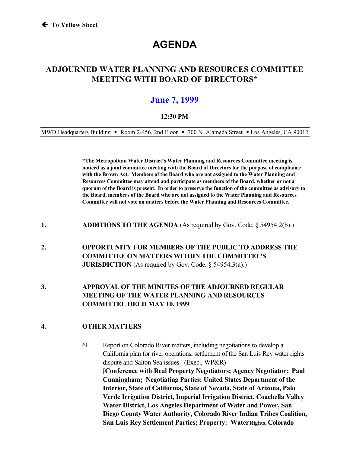# **AGENDA**

# **ADJOURNED WATER PLANNING AND RESOURCES COMMITTEE MEETING WITH BOARD OF DIRECTORS\***

# **June 7, 1999**

#### **12:30 PM**

MWD Headquarters Building • Room 2-456, 2nd Floor • 700 N. Alameda Street • Los Angeles, CA 90012

**\*The Metropolitan Water District's Water Planning and Resources Committee meeting is noticed as a joint committee meeting with the Board of Directors for the purpose of compliance with the Brown Act. Members of the Board who are not assigned to the Water Planning and Resources Committee may attend and participate as members of the Board, whether or not a quorum of the Board is present. In order to preserve the function of the committee as advisory to the Board, members of the Board who are not assigned to the Water Planning and Resources Committee will not vote on matters before the Water Planning and Resources Committee.**

- **1. ADDITIONS TO THE AGENDA** (As required by Gov. Code, § 54954.2(b).)
- **2. OPPORTUNITY FOR MEMBERS OF THE PUBLIC TO ADDRESS THE COMMITTEE ON MATTERS WITHIN THE COMMITTEE'S JURISDICTION** (As required by Gov. Code, § 54954.3(a).)
- **3. APPROVAL OF THE MINUTES OF THE ADJOURNED REGULAR MEETING OF THE WATER PLANNING AND RESOURCES COMMITTEE HELD MAY 10, 1999**

#### **4. OTHER MATTERS**

6I. Report on Colorado River matters, including negotiations to develop a California plan for river operations, settlement of the San Luis Rey water rights dispute and Salton Sea issues. (Exec., WP&R) **[Conference with Real Property Negotiators; Agency Negotiator: Paul Cunningham; Negotiating Parties: United States Department of the Interior, State of California, State of Nevada, State of Arizona, Palo Verde Irrigation District, Imperial Irrigation District, Coachella Valley Water District, Los Angeles Department of Water and Power, San Diego County Water Authority, Colorado River Indian Tribes Coalition, San Luis Rey Settlement Parties; Property: Water Rights, Colorado**